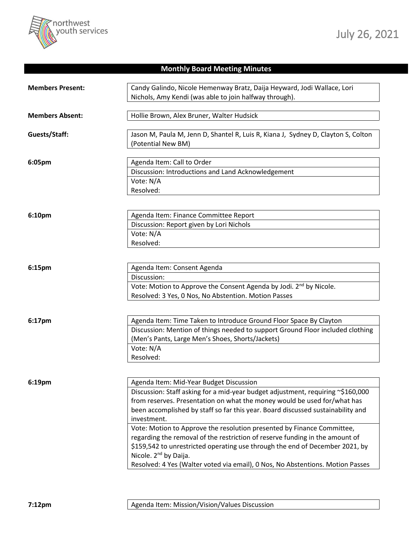

## **Monthly Board Meeting Minutes**

| <b>Members Present:</b> | Candy Galindo, Nicole Hemenway Bratz, Daija Heyward, Jodi Wallace, Lori           |
|-------------------------|-----------------------------------------------------------------------------------|
|                         | Nichols, Amy Kendi (was able to join halfway through).                            |
|                         |                                                                                   |
| <b>Members Absent:</b>  | Hollie Brown, Alex Bruner, Walter Hudsick                                         |
| Guests/Staff:           | Jason M, Paula M, Jenn D, Shantel R, Luis R, Kiana J, Sydney D, Clayton S, Colton |
|                         | (Potential New BM)                                                                |
|                         |                                                                                   |
| 6:05pm                  | Agenda Item: Call to Order                                                        |
|                         | Discussion: Introductions and Land Acknowledgement                                |
|                         | Vote: N/A                                                                         |
|                         | Resolved:                                                                         |
|                         |                                                                                   |
| 6:10pm                  | Agenda Item: Finance Committee Report                                             |
|                         | Discussion: Report given by Lori Nichols                                          |
|                         | Vote: N/A                                                                         |
|                         | Resolved:                                                                         |
|                         |                                                                                   |
| 6:15pm                  | Agenda Item: Consent Agenda                                                       |
|                         | Discussion:                                                                       |
|                         | Vote: Motion to Approve the Consent Agenda by Jodi. 2 <sup>nd</sup> by Nicole.    |
|                         | Resolved: 3 Yes, 0 Nos, No Abstention. Motion Passes                              |
|                         |                                                                                   |
| 6:17pm                  | Agenda Item: Time Taken to Introduce Ground Floor Space By Clayton                |
|                         | Discussion: Mention of things needed to support Ground Floor included clothing    |
|                         | (Men's Pants, Large Men's Shoes, Shorts/Jackets)                                  |
|                         | Vote: N/A                                                                         |
|                         | Resolved:                                                                         |
|                         |                                                                                   |
| 6:19pm                  | Agenda Item: Mid-Year Budget Discussion                                           |
|                         | Discussion: Staff asking for a mid-year budget adjustment, requiring ~\$160,000   |
|                         | from reserves. Presentation on what the money would be used for/what has          |
|                         | been accomplished by staff so far this year. Board discussed sustainability and   |
|                         | investment.                                                                       |
|                         | Vote: Motion to Approve the resolution presented by Finance Committee,            |
|                         | regarding the removal of the restriction of reserve funding in the amount of      |
|                         | \$159,542 to unrestricted operating use through the end of December 2021, by      |
|                         | Nicole. 2 <sup>nd</sup> by Daija.                                                 |
|                         | Resolved: 4 Yes (Walter voted via email), 0 Nos, No Abstentions. Motion Passes    |